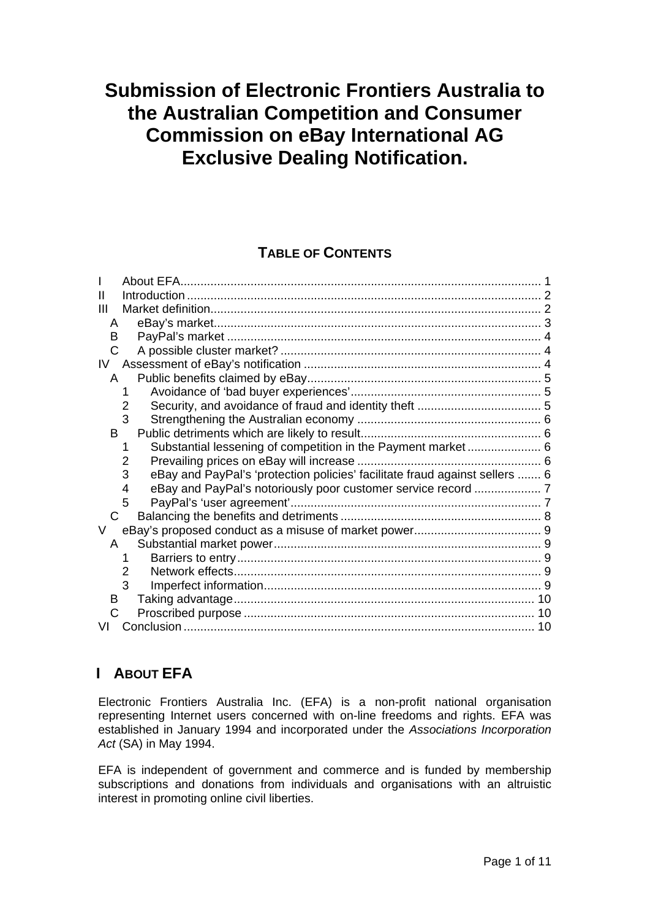# <span id="page-0-0"></span>**Submission of Electronic Frontiers Australia to the Australian Competition and Consumer Commission on eBay International AG Exclusive Dealing Notification.**

# **TABLE OF CONTENTS**

| Ш  |                                                                                  |    |
|----|----------------------------------------------------------------------------------|----|
| Ш  |                                                                                  |    |
| A  |                                                                                  |    |
| B  |                                                                                  |    |
| C  |                                                                                  |    |
| IV |                                                                                  |    |
| A  |                                                                                  |    |
|    | 1                                                                                |    |
|    | 2                                                                                |    |
|    | 3                                                                                |    |
| B. |                                                                                  |    |
|    |                                                                                  |    |
|    | 2                                                                                |    |
|    | eBay and PayPal's 'protection policies' facilitate fraud against sellers  6<br>3 |    |
|    | eBay and PayPal's notoriously poor customer service record  7<br>4               |    |
|    | 5                                                                                |    |
| C  |                                                                                  |    |
| V  |                                                                                  |    |
| A  |                                                                                  |    |
|    |                                                                                  |    |
|    | 2                                                                                |    |
|    | 3                                                                                |    |
| B  |                                                                                  | 10 |
| C  |                                                                                  | 10 |
|    |                                                                                  | 10 |
|    |                                                                                  |    |

# **I ABOUT EFA**

Electronic Frontiers Australia Inc. (EFA) is a non-profit national organisation representing Internet users concerned with on-line freedoms and rights. EFA was established in January 1994 and incorporated under the *Associations Incorporation Act* (SA) in May 1994.

EFA is independent of government and commerce and is funded by membership subscriptions and donations from individuals and organisations with an altruistic interest in promoting online civil liberties.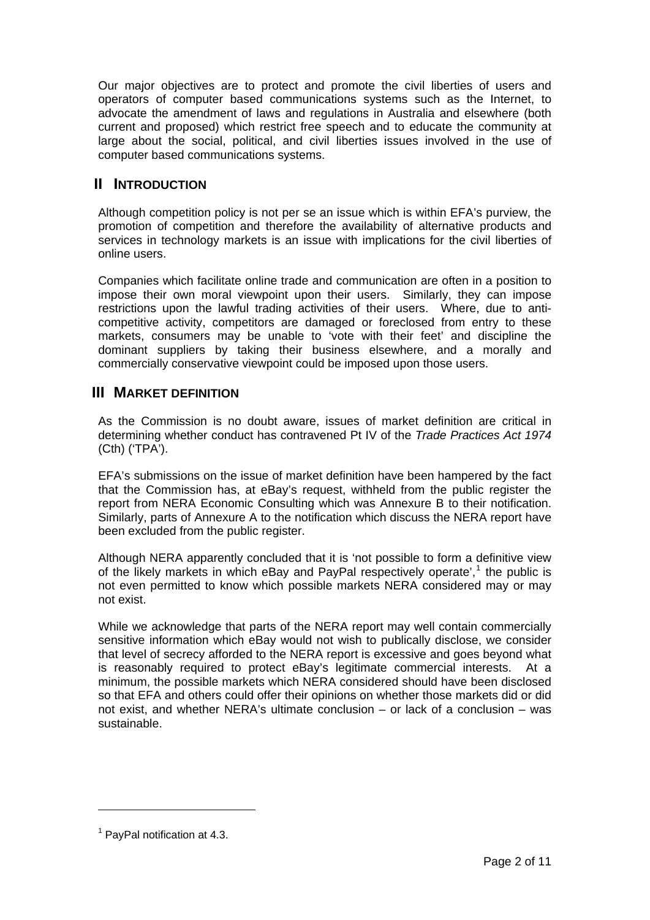<span id="page-1-0"></span>Our major objectives are to protect and promote the civil liberties of users and operators of computer based communications systems such as the Internet, to advocate the amendment of laws and regulations in Australia and elsewhere (both current and proposed) which restrict free speech and to educate the community at large about the social, political, and civil liberties issues involved in the use of computer based communications systems.

# **II INTRODUCTION**

Although competition policy is not per se an issue which is within EFA's purview, the promotion of competition and therefore the availability of alternative products and services in technology markets is an issue with implications for the civil liberties of online users.

Companies which facilitate online trade and communication are often in a position to impose their own moral viewpoint upon their users. Similarly, they can impose restrictions upon the lawful trading activities of their users. Where, due to anticompetitive activity, competitors are damaged or foreclosed from entry to these markets, consumers may be unable to 'vote with their feet' and discipline the dominant suppliers by taking their business elsewhere, and a morally and commercially conservative viewpoint could be imposed upon those users.

# **III MARKET DEFINITION**

As the Commission is no doubt aware, issues of market definition are critical in determining whether conduct has contravened Pt IV of the *Trade Practices Act 1974* (Cth) ('TPA').

EFA's submissions on the issue of market definition have been hampered by the fact that the Commission has, at eBay's request, withheld from the public register the report from NERA Economic Consulting which was Annexure B to their notification. Similarly, parts of Annexure A to the notification which discuss the NERA report have been excluded from the public register.

Although NERA apparently concluded that it is 'not possible to form a definitive view of the likely markets in which eBay and PayPal respectively operate',<sup>[1](#page-1-1)</sup> the public is not even permitted to know which possible markets NERA considered may or may not exist.

While we acknowledge that parts of the NERA report may well contain commercially sensitive information which eBay would not wish to publically disclose, we consider that level of secrecy afforded to the NERA report is excessive and goes beyond what is reasonably required to protect eBay's legitimate commercial interests. At a minimum, the possible markets which NERA considered should have been disclosed so that EFA and others could offer their opinions on whether those markets did or did not exist, and whether NERA's ultimate conclusion – or lack of a conclusion – was sustainable.

 $\overline{a}$ 

<span id="page-1-1"></span> $<sup>1</sup>$  PayPal notification at 4.3.</sup>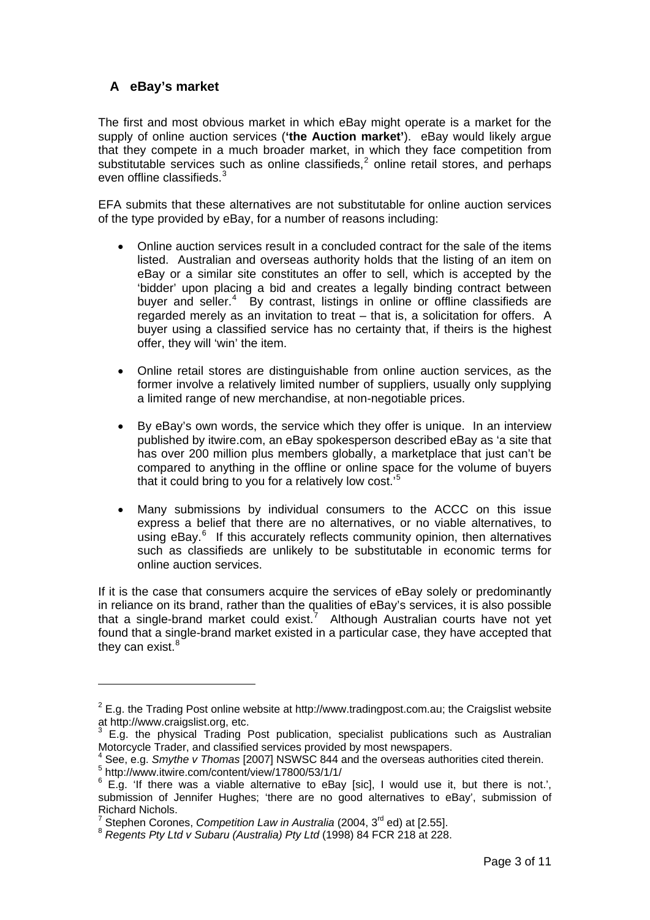# <span id="page-2-0"></span>**A eBay's market**

The first and most obvious market in which eBay might operate is a market for the supply of online auction services (**'the Auction market'**). eBay would likely argue that they compete in a much broader market, in which they face competition from substitutable services such as online classifieds, $2$  online retail stores, and perhaps even offline classifieds.<sup>[3](#page-2-2)</sup>

EFA submits that these alternatives are not substitutable for online auction services of the type provided by eBay, for a number of reasons including:

- Online auction services result in a concluded contract for the sale of the items listed. Australian and overseas authority holds that the listing of an item on eBay or a similar site constitutes an offer to sell, which is accepted by the 'bidder' upon placing a bid and creates a legally binding contract between buyer and seller.<sup>[4](#page-2-3)</sup> By contrast, listings in online or offline classifieds are regarded merely as an invitation to treat – that is, a solicitation for offers. A buyer using a classified service has no certainty that, if theirs is the highest offer, they will 'win' the item.
- Online retail stores are distinguishable from online auction services, as the former involve a relatively limited number of suppliers, usually only supplying a limited range of new merchandise, at non-negotiable prices.
- By eBay's own words, the service which they offer is unique. In an interview published by itwire.com, an eBay spokesperson described eBay as 'a site that has over 200 million plus members globally, a marketplace that just can't be compared to anything in the offline or online space for the volume of buyers that it could bring to you for a relatively low cost.'[5](#page-2-4)
- Many submissions by individual consumers to the ACCC on this issue express a belief that there are no alternatives, or no viable alternatives, to using eBay.<sup>[6](#page-2-5)</sup> If this accurately reflects community opinion, then alternatives such as classifieds are unlikely to be substitutable in economic terms for online auction services.

If it is the case that consumers acquire the services of eBay solely or predominantly in reliance on its brand, rather than the qualities of eBay's services, it is also possible that a single-brand market could exist.<sup>[7](#page-2-6)</sup> Although Australian courts have not yet found that a single-brand market existed in a particular case, they have accepted that they can exist.<sup>[8](#page-2-7)</sup>

<span id="page-2-1"></span> $2$  E.g. the Trading Post online website at http://www.tradingpost.com.au; the Craigslist website at http://www.craigslist.org, etc.

<span id="page-2-2"></span> $3$  E.g. the physical Trading Post publication, specialist publications such as Australian Motorcycle Trader, and classified services provided by most newspapers. 4

<span id="page-2-3"></span>See, e.g. *Smythe v Thomas* [2007] NSWSC 844 and the overseas authorities cited therein.

<sup>5</sup> http://www.itwire.com/content/view/17800/53/1/1/

<span id="page-2-5"></span><span id="page-2-4"></span> $6$  E.g. 'If there was a viable alternative to eBay [sic], I would use it, but there is not.', submission of Jennifer Hughes; 'there are no good alternatives to eBay', submission of Richard Nichols.

<span id="page-2-6"></span> $7^7$  Stephen Corones. Competition Law in Australia (2004, 3<sup>rd</sup> ed) at [2.55].

<span id="page-2-7"></span> $8$  Regents Pty Ltd v Subaru (Australia) Pty Ltd (1998) 84 FCR 218 at 228.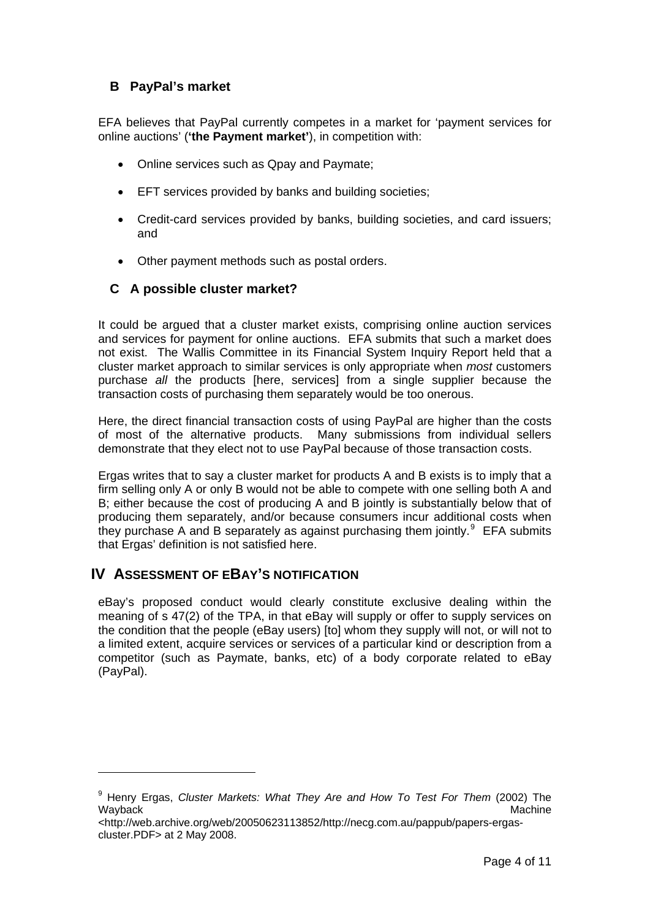# <span id="page-3-0"></span>**B PayPal's market**

EFA believes that PayPal currently competes in a market for 'payment services for online auctions' (**'the Payment market'**), in competition with:

- Online services such as Qpay and Paymate:
- EFT services provided by banks and building societies;
- Credit-card services provided by banks, building societies, and card issuers; and
- Other payment methods such as postal orders.

### **C A possible cluster market?**

It could be argued that a cluster market exists, comprising online auction services and services for payment for online auctions. EFA submits that such a market does not exist. The Wallis Committee in its Financial System Inquiry Report held that a cluster market approach to similar services is only appropriate when *most* customers purchase *all* the products [here, services] from a single supplier because the transaction costs of purchasing them separately would be too onerous.

Here, the direct financial transaction costs of using PayPal are higher than the costs of most of the alternative products. Many submissions from individual sellers demonstrate that they elect not to use PayPal because of those transaction costs.

Ergas writes that to say a cluster market for products A and B exists is to imply that a firm selling only A or only B would not be able to compete with one selling both A and B; either because the cost of producing A and B jointly is substantially below that of producing them separately, and/or because consumers incur additional costs when they purchase A and B separately as against purchasing them jointly. $9$  EFA submits that Ergas' definition is not satisfied here.

# **IV ASSESSMENT OF EBAY'S NOTIFICATION**

 $\overline{a}$ 

eBay's proposed conduct would clearly constitute exclusive dealing within the meaning of s 47(2) of the TPA, in that eBay will supply or offer to supply services on the condition that the people (eBay users) [to] whom they supply will not, or will not to a limited extent, acquire services or services of a particular kind or description from a competitor (such as Paymate, banks, etc) of a body corporate related to eBay (PayPal).

<span id="page-3-1"></span><sup>9</sup> Henry Ergas, *Cluster Markets: What They Are and How To Test For Them* (2002) The Wayback Machine

<sup>&</sup>lt;http://web.archive.org/web/20050623113852/http://necg.com.au/pappub/papers-ergascluster.PDF> at 2 May 2008.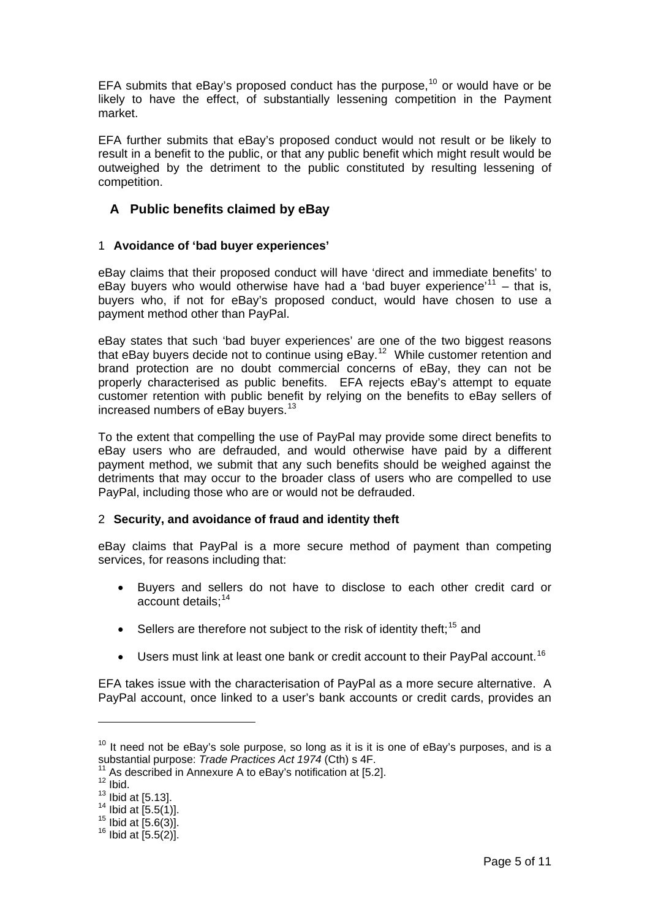<span id="page-4-0"></span>EFA submits that eBay's proposed conduct has the purpose, $10$  or would have or be likely to have the effect, of substantially lessening competition in the Payment market.

EFA further submits that eBay's proposed conduct would not result or be likely to result in a benefit to the public, or that any public benefit which might result would be outweighed by the detriment to the public constituted by resulting lessening of competition.

# **A Public benefits claimed by eBay**

#### 1 **Avoidance of 'bad buyer experiences'**

eBay claims that their proposed conduct will have 'direct and immediate benefits' to eBay buyers who would otherwise have had a 'bad buyer experience'<sup>[11](#page-4-2)</sup> – that is, buyers who, if not for eBay's proposed conduct, would have chosen to use a payment method other than PayPal.

eBay states that such 'bad buyer experiences' are one of the two biggest reasons that eBay buyers decide not to continue using  $eBay<sup>12</sup>$  $eBay<sup>12</sup>$  $eBay<sup>12</sup>$  While customer retention and brand protection are no doubt commercial concerns of eBay, they can not be properly characterised as public benefits. EFA rejects eBay's attempt to equate customer retention with public benefit by relying on the benefits to eBay sellers of increased numbers of eBay buyers.<sup>[13](#page-4-4)</sup>

To the extent that compelling the use of PayPal may provide some direct benefits to eBay users who are defrauded, and would otherwise have paid by a different payment method, we submit that any such benefits should be weighed against the detriments that may occur to the broader class of users who are compelled to use PayPal, including those who are or would not be defrauded.

#### 2 **Security, and avoidance of fraud and identity theft**

eBay claims that PayPal is a more secure method of payment than competing services, for reasons including that:

- Buyers and sellers do not have to disclose to each other credit card or account details:<sup>[14](#page-4-5)</sup>
- Sellers are therefore not subject to the risk of identity theft:<sup>[15](#page-4-6)</sup> and
- Users must link at least one bank or credit account to their PayPal account.<sup>[16](#page-4-7)</sup>

EFA takes issue with the characterisation of PayPal as a more secure alternative. A PayPal account, once linked to a user's bank accounts or credit cards, provides an

<span id="page-4-1"></span> $10$  It need not be eBay's sole purpose, so long as it is it is one of eBay's purposes, and is a substantial purpose: Trade Practices Act 1974 (Cth) s 4F.

<span id="page-4-2"></span><sup>&</sup>lt;sup>11</sup> As described in Annexure A to eBay's notification at [5.2].<br><sup>12</sup> Ibid.

<span id="page-4-4"></span><span id="page-4-3"></span> $\frac{13}{14}$  lbid at [5.13].<br> $\frac{14}{14}$  lbid at [5.5(1)].

<span id="page-4-7"></span><span id="page-4-6"></span><span id="page-4-5"></span><sup>&</sup>lt;sup>15</sup> Ibid at [5.6(3)].<br><sup>16</sup> Ibid at [5.5(2)].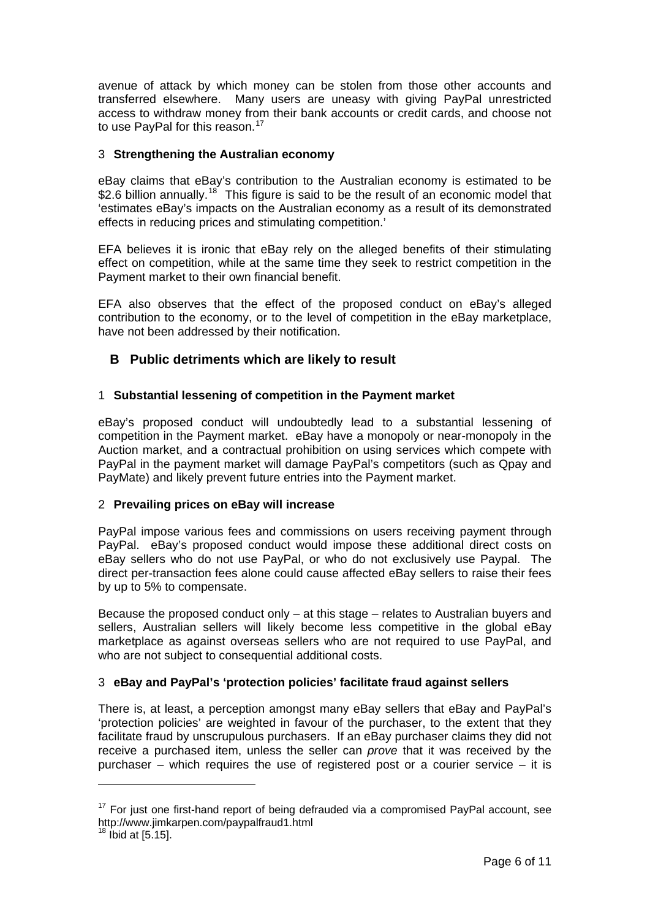<span id="page-5-0"></span>avenue of attack by which money can be stolen from those other accounts and transferred elsewhere. Many users are uneasy with giving PayPal unrestricted access to withdraw money from their bank accounts or credit cards, and choose not to use PayPal for this reason.<sup>[17](#page-5-1)</sup>

#### 3 **Strengthening the Australian economy**

eBay claims that eBay's contribution to the Australian economy is estimated to be \$2.6 billion annually.<sup>[18](#page-5-2)</sup> This figure is said to be the result of an economic model that 'estimates eBay's impacts on the Australian economy as a result of its demonstrated effects in reducing prices and stimulating competition.'

EFA believes it is ironic that eBay rely on the alleged benefits of their stimulating effect on competition, while at the same time they seek to restrict competition in the Payment market to their own financial benefit.

EFA also observes that the effect of the proposed conduct on eBay's alleged contribution to the economy, or to the level of competition in the eBay marketplace, have not been addressed by their notification.

# **B Public detriments which are likely to result**

### 1 **Substantial lessening of competition in the Payment market**

eBay's proposed conduct will undoubtedly lead to a substantial lessening of competition in the Payment market. eBay have a monopoly or near-monopoly in the Auction market, and a contractual prohibition on using services which compete with PayPal in the payment market will damage PayPal's competitors (such as Qpay and PayMate) and likely prevent future entries into the Payment market.

#### 2 **Prevailing prices on eBay will increase**

PayPal impose various fees and commissions on users receiving payment through PayPal. eBay's proposed conduct would impose these additional direct costs on eBay sellers who do not use PayPal, or who do not exclusively use Paypal. The direct per-transaction fees alone could cause affected eBay sellers to raise their fees by up to 5% to compensate.

Because the proposed conduct only – at this stage – relates to Australian buyers and sellers, Australian sellers will likely become less competitive in the global eBay marketplace as against overseas sellers who are not required to use PayPal, and who are not subject to consequential additional costs.

### 3 **eBay and PayPal's 'protection policies' facilitate fraud against sellers**

There is, at least, a perception amongst many eBay sellers that eBay and PayPal's 'protection policies' are weighted in favour of the purchaser, to the extent that they facilitate fraud by unscrupulous purchasers. If an eBay purchaser claims they did not receive a purchased item, unless the seller can *prove* that it was received by the purchaser – which requires the use of registered post or a courier service – it is

<span id="page-5-1"></span> $17$  For just one first-hand report of being defrauded via a compromised PayPal account, see http://www.jimkarpen.com/paypalfraud1.html

<span id="page-5-2"></span> $18$  Ibid at  $[5.15]$ .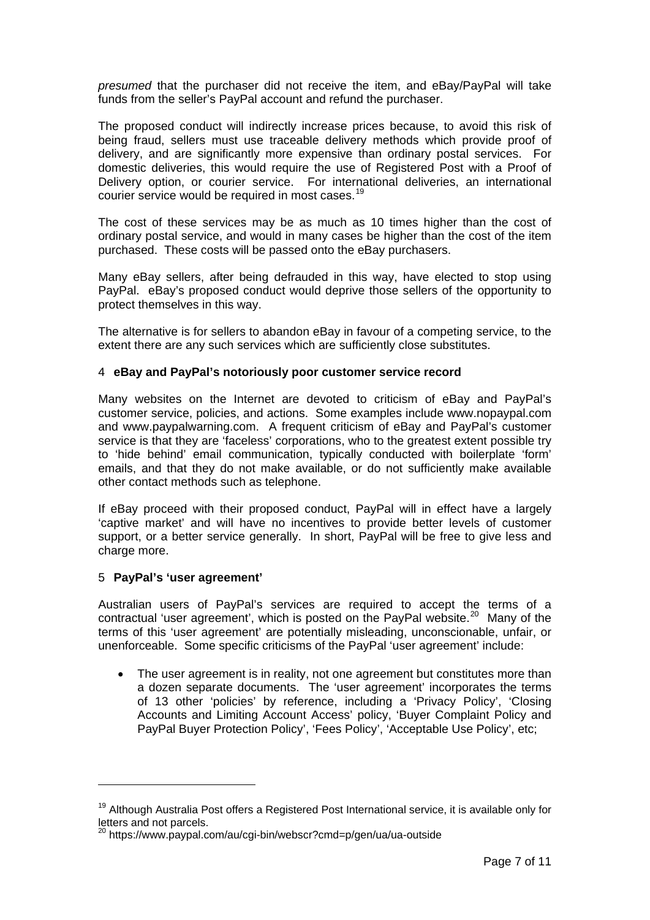<span id="page-6-0"></span>*presumed* that the purchaser did not receive the item, and eBay/PayPal will take funds from the seller's PayPal account and refund the purchaser.

The proposed conduct will indirectly increase prices because, to avoid this risk of being fraud, sellers must use traceable delivery methods which provide proof of delivery, and are significantly more expensive than ordinary postal services. For domestic deliveries, this would require the use of Registered Post with a Proof of Delivery option, or courier service. For international deliveries, an international courier service would be required in most cases.<sup>[19](#page-6-1)</sup>

The cost of these services may be as much as 10 times higher than the cost of ordinary postal service, and would in many cases be higher than the cost of the item purchased. These costs will be passed onto the eBay purchasers.

Many eBay sellers, after being defrauded in this way, have elected to stop using PayPal. eBay's proposed conduct would deprive those sellers of the opportunity to protect themselves in this way.

The alternative is for sellers to abandon eBay in favour of a competing service, to the extent there are any such services which are sufficiently close substitutes.

#### 4 **eBay and PayPal's notoriously poor customer service record**

Many websites on the Internet are devoted to criticism of eBay and PayPal's customer service, policies, and actions. Some examples include www.nopaypal.com and www.paypalwarning.com. A frequent criticism of eBay and PayPal's customer service is that they are 'faceless' corporations, who to the greatest extent possible try to 'hide behind' email communication, typically conducted with boilerplate 'form' emails, and that they do not make available, or do not sufficiently make available other contact methods such as telephone.

If eBay proceed with their proposed conduct, PayPal will in effect have a largely 'captive market' and will have no incentives to provide better levels of customer support, or a better service generally. In short, PayPal will be free to give less and charge more.

#### 5 **PayPal's 'user agreement'**

1

Australian users of PayPal's services are required to accept the terms of a contractual 'user agreement', which is posted on the PayPal website.<sup>[20](#page-6-2)</sup> Many of the terms of this 'user agreement' are potentially misleading, unconscionable, unfair, or unenforceable. Some specific criticisms of the PayPal 'user agreement' include:

The user agreement is in reality, not one agreement but constitutes more than a dozen separate documents. The 'user agreement' incorporates the terms of 13 other 'policies' by reference, including a 'Privacy Policy', 'Closing Accounts and Limiting Account Access' policy, 'Buyer Complaint Policy and PayPal Buyer Protection Policy', 'Fees Policy', 'Acceptable Use Policy', etc;

<span id="page-6-1"></span><sup>&</sup>lt;sup>19</sup> Although Australia Post offers a Registered Post International service, it is available only for letters and not parcels.

<span id="page-6-2"></span><sup>&</sup>lt;sup>20</sup> https://www.paypal.com/au/cgi-bin/webscr?cmd=p/gen/ua/ua-outside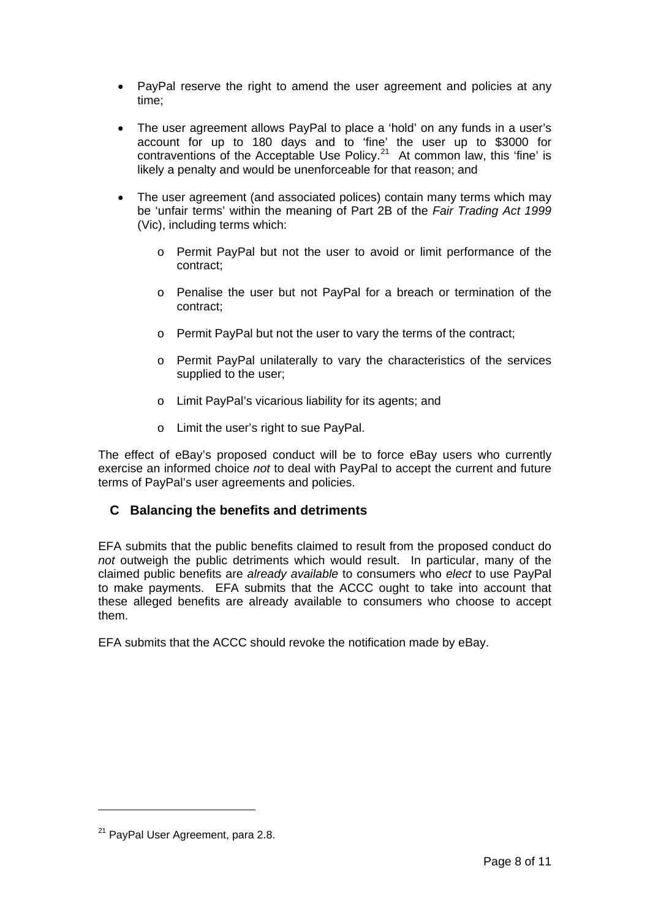- <span id="page-7-0"></span>• PayPal reserve the right to amend the user agreement and policies at any time;
- The user agreement allows PayPal to place a 'hold' on any funds in a user's account for up to 180 days and to 'fine' the user up to \$3000 for contraventions of the Acceptable Use Policy.<sup>[21](#page-7-1)</sup> At common law, this 'fine' is likely a penalty and would be unenforceable for that reason; and
- The user agreement (and associated polices) contain many terms which may be 'unfair terms' within the meaning of Part 2B of the *Fair Trading Act 1999* (Vic), including terms which:
	- o Permit PayPal but not the user to avoid or limit performance of the contract;
	- o Penalise the user but not PayPal for a breach or termination of the contract;
	- o Permit PayPal but not the user to vary the terms of the contract;
	- o Permit PayPal unilaterally to vary the characteristics of the services supplied to the user;
	- o Limit PayPal's vicarious liability for its agents; and
	- o Limit the user's right to sue PayPal.

The effect of eBay's proposed conduct will be to force eBay users who currently exercise an informed choice *not* to deal with PayPal to accept the current and future terms of PayPal's user agreements and policies.

### **C Balancing the benefits and detriments**

EFA submits that the public benefits claimed to result from the proposed conduct do *not* outweigh the public detriments which would result. In particular, many of the claimed public benefits are *already available* to consumers who *elect* to use PayPal to make payments. EFA submits that the ACCC ought to take into account that these alleged benefits are already available to consumers who choose to accept them.

EFA submits that the ACCC should revoke the notification made by eBay.

 $\overline{a}$ 

<span id="page-7-1"></span><sup>&</sup>lt;sup>21</sup> PayPal User Agreement, para 2.8.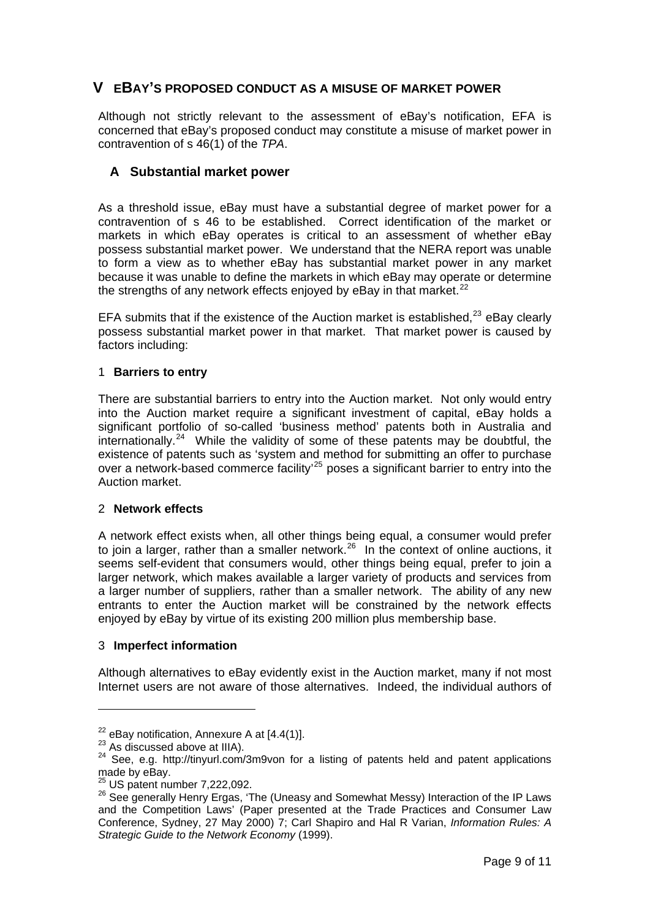# <span id="page-8-0"></span>**V EBAY'S PROPOSED CONDUCT AS A MISUSE OF MARKET POWER**

Although not strictly relevant to the assessment of eBay's notification, EFA is concerned that eBay's proposed conduct may constitute a misuse of market power in contravention of s 46(1) of the *TPA*.

## **A Substantial market power**

As a threshold issue, eBay must have a substantial degree of market power for a contravention of s 46 to be established. Correct identification of the market or markets in which eBay operates is critical to an assessment of whether eBay possess substantial market power. We understand that the NERA report was unable to form a view as to whether eBay has substantial market power in any market because it was unable to define the markets in which eBay may operate or determine the strengths of any network effects enjoyed by eBay in that market.<sup>[22](#page-8-1)</sup>

EFA submits that if the existence of the Auction market is established.<sup>[23](#page-8-2)</sup> eBay clearly possess substantial market power in that market. That market power is caused by factors including:

#### 1 **Barriers to entry**

There are substantial barriers to entry into the Auction market. Not only would entry into the Auction market require a significant investment of capital, eBay holds a significant portfolio of so-called 'business method' patents both in Australia and internationally.<sup>[24](#page-8-3)</sup> While the validity of some of these patents may be doubtful, the existence of patents such as 'system and method for submitting an offer to purchase over a network-based commerce facility<sup>[25](#page-8-4)</sup> poses a significant barrier to entry into the Auction market.

#### 2 **Network effects**

A network effect exists when, all other things being equal, a consumer would prefer to join a larger, rather than a smaller network.<sup>[26](#page-8-5)</sup> In the context of online auctions, it seems self-evident that consumers would, other things being equal, prefer to join a larger network, which makes available a larger variety of products and services from a larger number of suppliers, rather than a smaller network. The ability of any new entrants to enter the Auction market will be constrained by the network effects enjoyed by eBay by virtue of its existing 200 million plus membership base.

#### 3 **Imperfect information**

Although alternatives to eBay evidently exist in the Auction market, many if not most Internet users are not aware of those alternatives. Indeed, the individual authors of

<span id="page-8-3"></span>

<span id="page-8-2"></span><span id="page-8-1"></span><sup>&</sup>lt;sup>22</sup> eBay notification, Annexure A at [4.4(1)].<br><sup>23</sup> As discussed above at IIIA).<br><sup>24</sup> See, e.g. http://tinyurl.com/3m9von for a listing of patents held and patent applications made by eBay.<br><sup>25</sup> US patent number 7,222,092.

<span id="page-8-5"></span><span id="page-8-4"></span><sup>&</sup>lt;sup>25</sup> US patent number 7,222,092.<br><sup>26</sup> See generally Henry Ergas, 'The (Uneasy and Somewhat Messy) Interaction of the IP Laws and the Competition Laws' (Paper presented at the Trade Practices and Consumer Law Conference, Sydney, 27 May 2000) 7; Carl Shapiro and Hal R Varian, *Information Rules: A Strategic Guide to the Network Economy* (1999).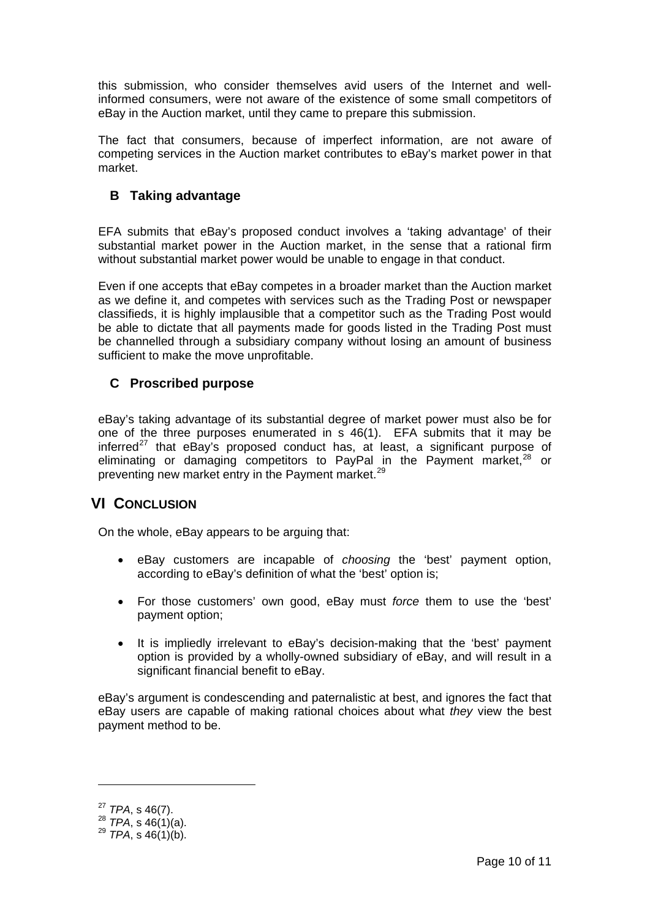<span id="page-9-0"></span>this submission, who consider themselves avid users of the Internet and wellinformed consumers, were not aware of the existence of some small competitors of eBay in the Auction market, until they came to prepare this submission.

The fact that consumers, because of imperfect information, are not aware of competing services in the Auction market contributes to eBay's market power in that market.

# **B Taking advantage**

EFA submits that eBay's proposed conduct involves a 'taking advantage' of their substantial market power in the Auction market, in the sense that a rational firm without substantial market power would be unable to engage in that conduct.

Even if one accepts that eBay competes in a broader market than the Auction market as we define it, and competes with services such as the Trading Post or newspaper classifieds, it is highly implausible that a competitor such as the Trading Post would be able to dictate that all payments made for goods listed in the Trading Post must be channelled through a subsidiary company without losing an amount of business sufficient to make the move unprofitable.

# **C Proscribed purpose**

eBay's taking advantage of its substantial degree of market power must also be for one of the three purposes enumerated in s 46(1). EFA submits that it may be inferred $^{27}$  $^{27}$  $^{27}$  that eBay's proposed conduct has, at least, a significant purpose of eliminating or damaging competitors to PayPal in the Payment market.<sup>[28](#page-9-2)</sup> or preventing new market entry in the Payment market.<sup>[29](#page-9-3)</sup>

# **VI CONCLUSION**

On the whole, eBay appears to be arguing that:

- eBay customers are incapable of *choosing* the 'best' payment option, according to eBay's definition of what the 'best' option is;
- For those customers' own good, eBay must *force* them to use the 'best' payment option;
- It is impliedly irrelevant to eBay's decision-making that the 'best' payment option is provided by a wholly-owned subsidiary of eBay, and will result in a significant financial benefit to eBay.

eBay's argument is condescending and paternalistic at best, and ignores the fact that eBay users are capable of making rational choices about what *they* view the best payment method to be.

<span id="page-9-2"></span><span id="page-9-1"></span><sup>27</sup> *TPA*, s 46(7). 28 *TPA*, s 46(1)(a). 29 *TPA*, s 46(1)(b).

<span id="page-9-3"></span>